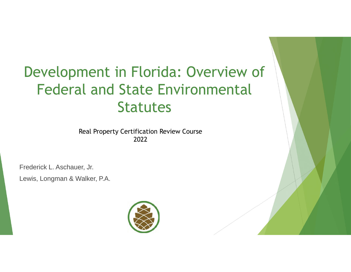# Development in Florida: Overview of Federal and State Environmental **Statutes**

Real Property Certification Review Course 2022

Frederick L. Aschauer, Jr.

Lewis, Longman & Walker, P.A.

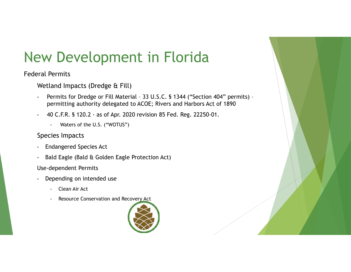# New Development in Florida

#### Federal Permits

Wetland Impacts (Dredge & Fill)

- Permits for Dredge or Fill Material 33 U.S.C. § 1344 ("Section 404" permits) permitting authority delegated to ACOE; Rivers and Harbors Act of 1890
- 40 C.F.R. § 120.2 as of Apr. 2020 revision 85 Fed. Reg. 22250-01.
	- Waters of the U.S. ("WOTUS")
- Species Impacts
- Endangered Species Act
- Bald Eagle (Bald & Golden Eagle Protection Act)

Use-dependent Permits

- Depending on intended use
	- Clean Air Act
	- Resource Conservation and Recovery Act

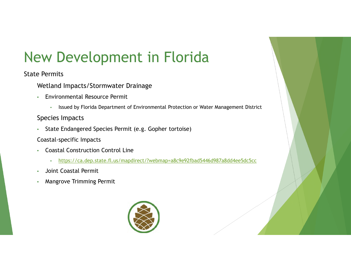# New Development in Florida

#### State Permits

- Wetland Impacts/Stormwater Drainage
- Environmental Resource Permit
	- Issued by Florida Department of Environmental Protection or Water Management District

#### Species Impacts

- State Endangered Species Permit (e.g. Gopher tortoise)
- Coastal-specific Impacts
- Coastal Construction Control Line
	- https://ca.dep.state.fl.us/mapdirect/?webmap=a8c9e92fbad5446d987a8dd4ee5dc5cc
- Joint Coastal Permit
- Mangrove Trimming Permit

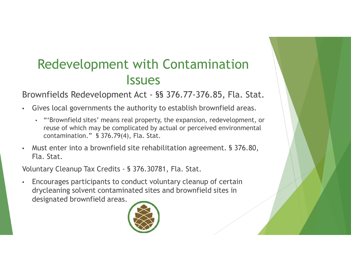## Redevelopment with Contamination **Issues**

Brownfields Redevelopment Act - §§ 376.77-376.85, Fla. Stat.

- Gives local governments the authority to establish brownfield areas.
	- "'Brownfield sites' means real property, the expansion, redevelopment, or reuse of which may be complicated by actual or perceived environmental contamination." § 376.79(4), Fla. Stat.
- Must enter into a brownfield site rehabilitation agreement. § 376.80, Fla. Stat.

Voluntary Cleanup Tax Credits - § 376.30781, Fla. Stat.

• Encourages participants to conduct voluntary cleanup of certain drycleaning solvent contaminated sites and brownfield sites in designated brownfield areas.

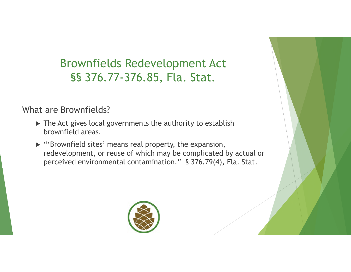Brownfields Redevelopment Act §§ 376.77-376.85, Fla. Stat.

What are Brownfields?

- $\triangleright$  The Act gives local governments the authority to establish brownfield areas.
- $\triangleright$  "'Brownfield sites' means real property, the expansion, redevelopment, or reuse of which may be complicated by actual or perceived environmental contamination." § 376.79(4), Fla. Stat.

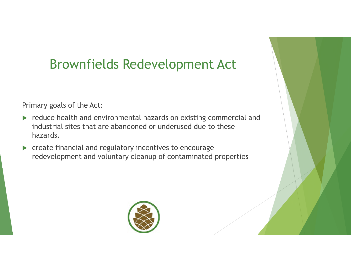## Brownfields Redevelopment Act

Primary goals of the Act:

- reduce health and environmental hazards on existing commercial and industrial sites that are abandoned or underused due to these hazards.
- **EX Create financial and regulatory incentives to encourage** redevelopment and voluntary cleanup of contaminated properties

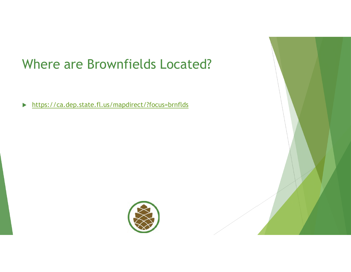## Where are Brownfields Located?

https://ca.dep.state.fl.us/mapdirect/?focus=brnflds

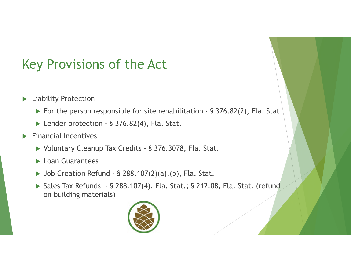## Key Provisions of the Act

- **Liability Protection** 
	- ▶ For the person responsible for site rehabilitation § 376.82(2), Fla. Stat.
	- ▶ Lender protection § 376.82(4), Fla. Stat.
- $\blacktriangleright$  Financial Incentives
	- ▶ Voluntary Cleanup Tax Credits § 376.3078, Fla. Stat.
	- **Loan Guarantees**
	- $\triangleright$  Job Creation Refund § 288.107(2)(a),(b), Fla. Stat.
	- ▶ Sales Tax Refunds § 288.107(4), Fla. Stat.; § 212.08, Fla. Stat. (refund on building materials)

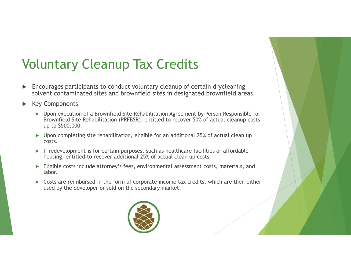## Voluntary Cleanup Tax Credits

- Encourages participants to conduct voluntary cleanup of certain drycleaning solvent contaminated sites and brownfield sites in designated brownfield areas.
- Key Components
	- Upon execution of a Brownfield Site Rehabilitation Agreement by Person Responsible for Brownfield Site Rehabilitation (PRFBSR), entitled to recover 50% of actual cleanup costs up to \$500,000.
	- $\triangleright$  Upon completing site rehabilitation, eligible for an additional 25% of actual clean up costs.
	- $\blacktriangleright$  If redevelopment is for certain purposes, such as healthcare facilities or affordable housing, entitled to recover additional 25% of actual clean up costs.
	- Eligible costs include attorney's fees, environmental assessment costs, materials, and labor.
	- Costs are reimbursed in the form of corporate income tax credits, which are then either used by the developer or sold on the secondary market.

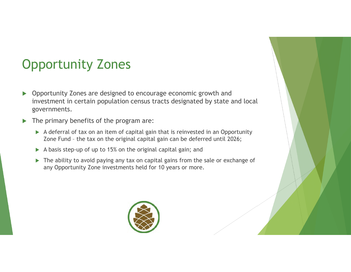## Opportunity Zones

- ▶ Opportunity Zones are designed to encourage economic growth and investment in certain population census tracts designated by state and local governments.
- The primary benefits of the program are:
	- A deferral of tax on an item of capital gain that is reinvested in an Opportunity Zone Fund – the tax on the original capital gain can be deferred until 2026;
	- $\triangleright$  A basis step-up of up to 15% on the original capital gain; and
	- ▶ The ability to avoid paying any tax on capital gains from the sale or exchange of any Opportunity Zone investments held for 10 years or more.

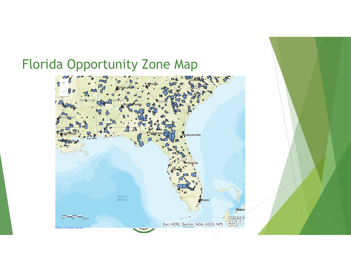## Florida Opportunity Zone Map

I

I

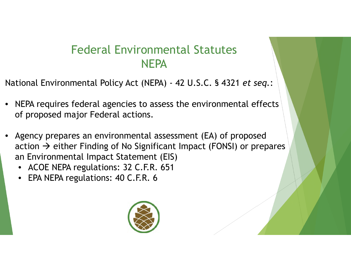## Federal Environmental Statutes **NEPA**

National Environmental Policy Act (NEPA) - 42 U.S.C. § 4321 *et seq.*:

- NEPA requires federal agencies to assess the environmental effects of proposed major Federal actions.
- Agency prepares an environmental assessment (EA) of proposed action  $\rightarrow$  either Finding of No Significant Impact (FONSI) or prepares an Environmental Impact Statement (EIS)
	- ACOE NEPA regulations: 32 C.F.R. 651
	- EPA NEPA regulations: 40 C.F.R. 6

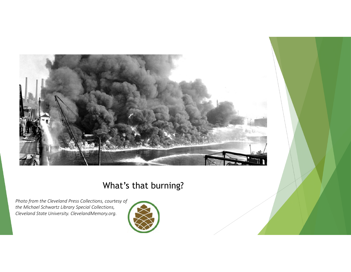

#### What's that burning?

*Photo from the Cleveland Press Collections, courtesy of the Michael Schwartz Library Special Collections, Cleveland State University. ClevelandMemory.org.* 

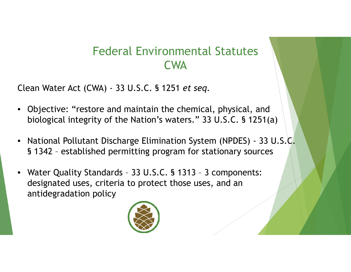### Federal Environmental Statutes CWA

Clean Water Act (CWA) - 33 U.S.C. § 1251 *et seq.*

- Objective: "restore and maintain the chemical, physical, and biological integrity of the Nation's waters." 33 U.S.C. § 1251(a)
- National Pollutant Discharge Elimination System (NPDES) 33 U.S.C. § 1342 – established permitting program for stationary sources
- Water Quality Standards 33 U.S.C. § 1313 3 components: designated uses, criteria to protect those uses, and an antidegradation policy

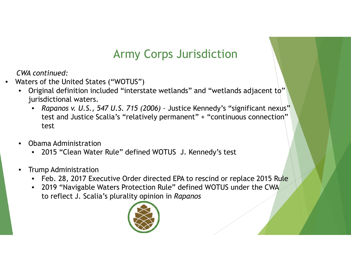### Army Corps Jurisdiction

*CWA continued:*

- Waters of the United States ("WOTUS")
	- Original definition included "interstate wetlands" and "wetlands adjacent to" jurisdictional waters.
		- *Rapanos v. U.S., 547 U.S. 715 (2006) –* Justice Kennedy's "significant nexus" test and Justice Scalia's "relatively permanent" + "continuous connection" test
	- Obama Administration
		- 2015 "Clean Water Rule" defined WOTUS J. Kennedy's test
	- Trump Administration
		- Feb. 28, 2017 Executive Order directed EPA to rescind or replace 2015 Rule
		- 2019 "Navigable Waters Protection Rule" defined WOTUS under the CWA to reflect J. Scalia's plurality opinion in *Rapanos*

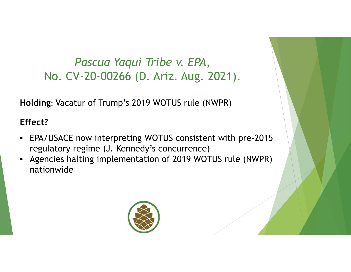### *Pascua Yaqui Tribe v. EPA*, No. CV-20-00266 (D. Ariz. Aug. 2021).

**Holding**: Vacatur of Trump's 2019 WOTUS rule (NWPR)

#### **Effect?**

- EPA/USACE now interpreting WOTUS consistent with pre-2015 regulatory regime (J. Kennedy's concurrence)
- Agencies halting implementation of 2019 WOTUS rule (NWPR) nationwide

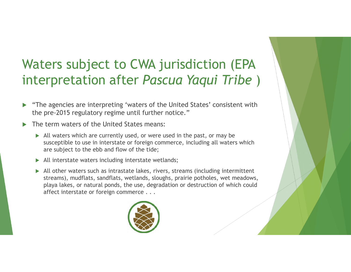## Waters subject to CWA jurisdiction (EPA interpretation after *Pascua Yaqui Tribe* )

- "The agencies are interpreting 'waters of the United States' consistent with the pre-2015 regulatory regime until further notice."
- The term waters of the United States means:
	- $\triangleright$  All waters which are currently used, or were used in the past, or may be susceptible to use in interstate or foreign commerce, including all waters which are subject to the ebb and flow of the tide;
	- $\triangleright$  All interstate waters including interstate wetlands;
	- All other waters such as intrastate lakes, rivers, streams (including intermittent streams), mudflats, sandflats, wetlands, sloughs, prairie potholes, wet meadows, playa lakes, or natural ponds, the use, degradation or destruction of which could affect interstate or foreign commerce . . .

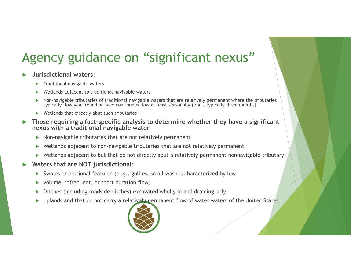# Agency guidance on "significant nexus"

#### **Jurisdictional waters**:

- Traditional navigable waters
- Wetlands adjacent to traditional navigable waters
- Non-navigable tributaries of traditional navigable waters that are relatively permanent where the tributaries typically flow year-round or have continuous flow at least seasonally (e.g ., typically three months)
- $\blacktriangleright$  Wetlands that directly abut such tributaries
- **Those requiring a fact-specific analysis to determine whether they have a significant nexus with a traditional navigable water**
	- $\triangleright$  Non-navigable tributaries that are not relatively permanent
	- Wetlands adjacent to non-navigable tributaries that are not relatively permanent
	- Wetlands adjacent to but that do not directly abut a relatively permanent nonnavigable tributary
- **Waters that are NOT jurisdictional**:
	- Swales or erosional features (e .g., gullies, small washes characterized by low
	- volume, infrequent, or short duration flow)
	- Ditches (including roadside ditches) excavated wholly in and draining only
	- **D** uplands and that do not carry a relatively permanent flow of water waters of the United States.

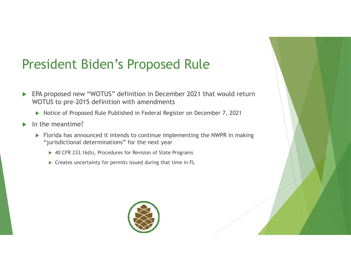## President Biden's Proposed Rule

- ▶ EPA proposed new "WOTUS" definition in December 2021 that would return WOTUS to pre-2015 definition with amendments
	- ▶ Notice of Proposed Rule Published in Federal Register on December 7, 2021
- In the meantime?
	- ▶ Florida has announced it intends to continue implementing the NWPR in making "jurisdictional determinations" for the next year
		- ▶ 40 CFR 233.16(b), Procedures for Revision of State Programs
		- $\triangleright$  Creates uncertainty for permits issued during that time in FL

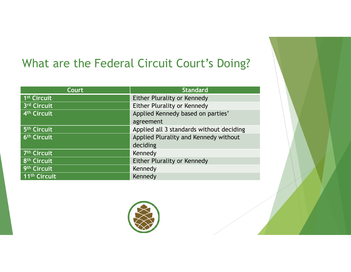### What are the Federal Circuit Court's Doing?

| Court                    | <b>Standard</b>                          |
|--------------------------|------------------------------------------|
| 1 <sup>st</sup> Circuit  | Either Plurality or Kennedy              |
| 3rd Circuit              | Either Plurality or Kennedy              |
| 4 <sup>th</sup> Circuit  | Applied Kennedy based on parties'        |
|                          | agreement                                |
| 5 <sup>th</sup> Circuit  | Applied all 3 standards without deciding |
| 6 <sup>th</sup> Circuit  | Applied Plurality and Kennedy without    |
|                          | deciding                                 |
| 7 <sup>th</sup> Circuit  | Kennedy                                  |
| 8 <sup>th</sup> Circuit  | Either Plurality or Kennedy              |
| 9th Circuit              | Kennedy                                  |
| 11 <sup>th</sup> Circuit | Kennedy                                  |

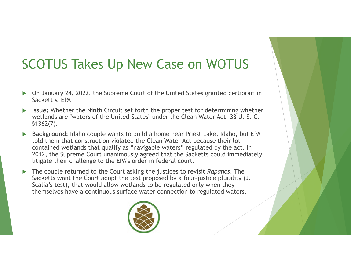## SCOTUS Takes Up New Case on WOTUS

- On January 24, 2022, the Supreme Court of the United States granted certiorari in Sackett v. EPA
- **Issue:** Whether the Ninth Circuit set forth the proper test for determining whether wetlands are "waters of the United States" under the Clean Water Act, 33 U. S. C. §1362(7).
- **Background:** Idaho couple wants to build a home near Priest Lake, Idaho, but EPA told them that construction violated the Clean Water Act because their lot contained wetlands that qualify as "navigable waters" regulated by the act. In 2012, the Supreme Court unanimously agreed that the Sacketts could immediately litigate their challenge to the EPA's order in federal court.
- The couple returned to the Court asking the justices to revisit *Rapanos*. The Sacketts want the Court adopt the test proposed by a four-justice plurality (J. Scalia's test), that would allow wetlands to be regulated only when they themselves have a continuous surface water connection to regulated waters.

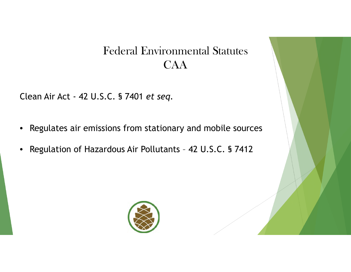### Federal Environmental Statutes CAA

Clean Air Act - 42 U.S.C. § 7401 *et seq.*

- Regulates air emissions from stationary and mobile sources
- Regulation of Hazardous Air Pollutants 42 U.S.C. § 7412

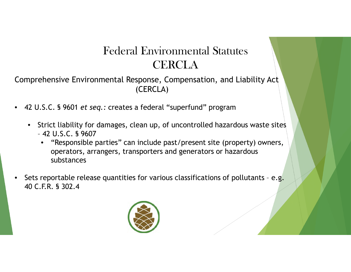## Federal Environmental Statutes **CERCLA**

Comprehensive Environmental Response, Compensation, and Liability Act (CERCLA)

- 42 U.S.C. § 9601 *et seq.:* creates a federal "superfund" program
	- Strict liability for damages, clean up, of uncontrolled hazardous waste sites – 42 U.S.C. § 9607
		- "Responsible parties" can include past/present site (property) owners, operators, arrangers, transporters and generators or hazardous substances
- Sets reportable release quantities for various classifications of pollutants e.g. 40 C.F.R. § 302.4

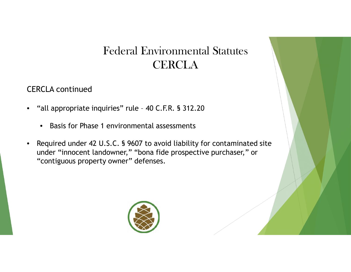### Federal Environmental Statutes **CERCLA**

CERCLA continued

- "all appropriate inquiries" rule 40 C.F.R. § 312.20
	- Basis for Phase 1 environmental assessments
- Required under 42 U.S.C. § 9607 to avoid liability for contaminated site under "innocent landowner," "bona fide prospective purchaser," or "contiguous property owner" defenses.

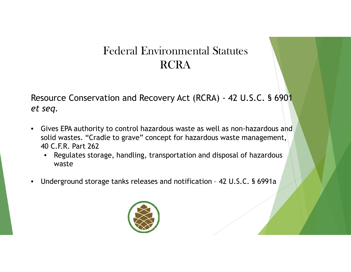### Federal Environmental Statutes RCRA

Resource Conservation and Recovery Act (RCRA) - 42 U.S.C. § 6901 *et seq.*

- Gives EPA authority to control hazardous waste as well as non-hazardous and solid wastes. "Cradle to grave" concept for hazardous waste management, 40 C.F.R. Part 262
	- Regulates storage, handling, transportation and disposal of hazardous waste
- Underground storage tanks releases and notification 42 U.S.C. § 6991a

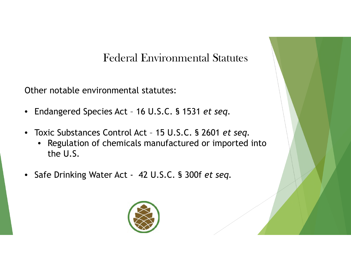#### Federal Environmental Statutes

Other notable environmental statutes:

- Endangered Species Act 16 U.S.C. § 1531 *et seq.*
- Toxic Substances Control Act 15 U.S.C. § 2601 *et seq.*
	- Regulation of chemicals manufactured or imported into the U.S.
- Safe Drinking Water Act 42 U.S.C. § 300f *et seq.*

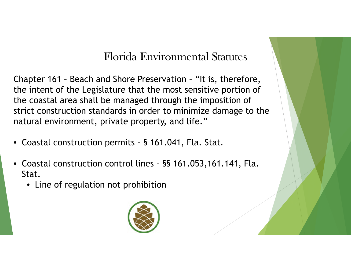Chapter 161 – Beach and Shore Preservation – "It is, therefore, the intent of the Legislature that the most sensitive portion of the coastal area shall be managed through the imposition of strict construction standards in order to minimize damage to the natural environment, private property, and life."

- Coastal construction permits § 161.041, Fla. Stat.
- Coastal construction control lines §§ 161.053,161.141, Fla. Stat.
	- Line of regulation not prohibition

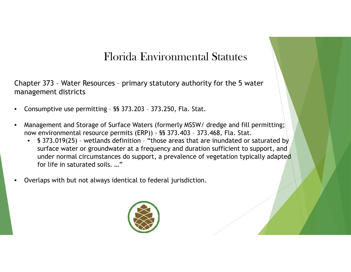Chapter 373 – Water Resources – primary statutory authority for the 5 water management districts

- Consumptive use permitting §§ 373.203 373.250, Fla. Stat.
- Management and Storage of Surface Waters (formerly MSSW/ dredge and fill permitting; now environmental resource permits (ERP)) - §§ 373.403 – 373.468, Fla. Stat.
	- § 373.019(25) wetlands definition "those areas that are inundated or saturated by surface water or groundwater at a frequency and duration sufficient to support, and under normal circumstances do support, a prevalence of vegetation typically adapted for life in saturated soils. …"
- Overlaps with but not always identical to federal jurisdiction.

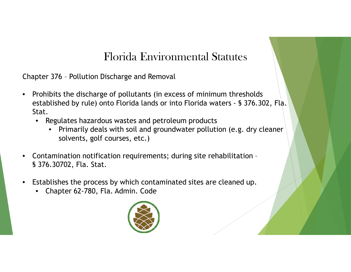Chapter 376 – Pollution Discharge and Removal

- Prohibits the discharge of pollutants (in excess of minimum thresholds established by rule) onto Florida lands or into Florida waters - § 376.302, Fla. Stat.
	- Regulates hazardous wastes and petroleum products
		- Primarily deals with soil and groundwater pollution (e.g. dry cleaner solvents, golf courses, etc.)
- Contamination notification requirements; during site rehabilitation § 376.30702, Fla. Stat.
- Establishes the process by which contaminated sites are cleaned up.
	- Chapter 62-780, Fla. Admin. Code

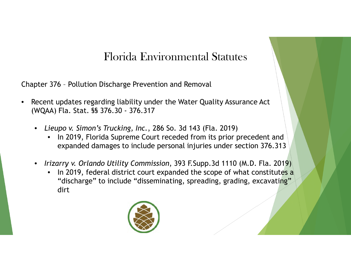Chapter 376 – Pollution Discharge Prevention and Removal

- Recent updates regarding liability under the Water Quality Assurance Act (WQAA) Fla. Stat. §§ 376.30 - 376.317
	- *Lieupo v. Simon's Trucking, Inc.*, 286 So. 3d 143 (Fla. 2019)
		- In 2019, Florida Supreme Court receded from its prior precedent and expanded damages to include personal injuries under section 376.313
	- *Irizarry v. Orlando Utility Commission*, 393 F.Supp.3d 1110 (M.D. Fla. 2019)
		- In 2019, federal district court expanded the scope of what constitutes a "discharge" to include "disseminating, spreading, grading, excavating" dirt

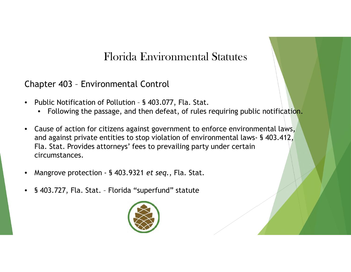#### Chapter 403 – Environmental Control

- Public Notification of Pollution § 403.077, Fla. Stat.
	- Following the passage, and then defeat, of rules requiring public notification.
- Cause of action for citizens against government to enforce environmental laws, and against private entities to stop violation of environmental laws- § 403.412, Fla. Stat. Provides attorneys' fees to prevailing party under certain circumstances.
- Mangrove protection § 403.9321 *et seq.*, Fla. Stat.
- § 403.727, Fla. Stat. Florida "superfund" statute